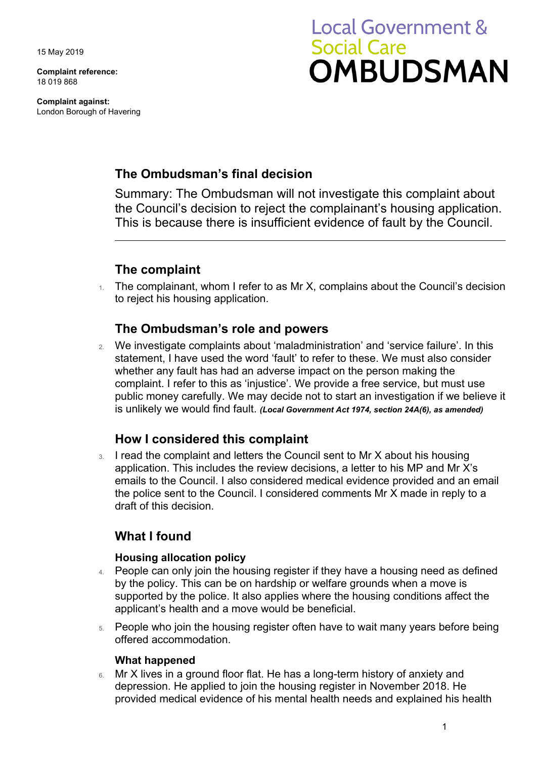15 May 2019

**Complaint reference:**  18 019 868

**Complaint against:**  London Borough of Havering

# **Local Government & Social Care OMBUDSMAN**

# **The Ombudsman's final decision**

Summary: The Ombudsman will not investigate this complaint about the Council's decision to reject the complainant's housing application. This is because there is insufficient evidence of fault by the Council.

## **The complaint**

1. The complainant, whom I refer to as Mr X, complains about the Council's decision to reject his housing application.

## **The Ombudsman's role and powers**

 public money carefully. We may decide not to start an investigation if we believe it 2. We investigate complaints about 'maladministration' and 'service failure'. In this statement, I have used the word 'fault' to refer to these. We must also consider whether any fault has had an adverse impact on the person making the complaint. I refer to this as 'injustice'. We provide a free service, but must use is unlikely we would find fault. *(Local Government Act 1974, section 24A(6), as amended)* 

## **How I considered this complaint**

 emails to the Council. I also considered medical evidence provided and an email 3. I read the complaint and letters the Council sent to Mr X about his housing application. This includes the review decisions, a letter to his MP and Mr X's the police sent to the Council. I considered comments Mr X made in reply to a draft of this decision.

## **What I found**

#### **Housing allocation policy**

- 4. People can only join the housing register if they have a housing need as defined by the policy. This can be on hardship or welfare grounds when a move is supported by the police. It also applies where the housing conditions affect the applicant's health and a move would be beneficial.
- 5. People who join the housing register often have to wait many years before being offered accommodation.

#### **What happened**

6. Mr X lives in a ground floor flat. He has a long-term history of anxiety and depression. He applied to join the housing register in November 2018. He provided medical evidence of his mental health needs and explained his health